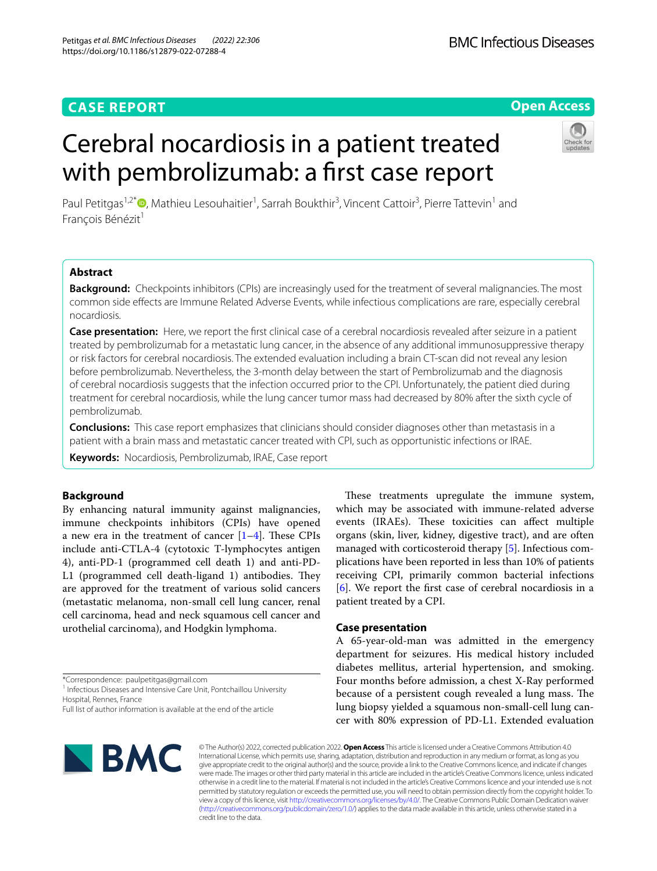## **Open Access**

# Cerebral nocardiosis in a patient treated with pembrolizumab: a first case report



Paul Petitgas<sup>1,2\*</sup><sup>®</sup>[,](http://orcid.org/0000-0002-0517-6203) Mathieu Lesouhaitier<sup>1</sup>, Sarrah Boukthir<sup>3</sup>, Vincent Cattoir<sup>3</sup>, Pierre Tattevin<sup>1</sup> and François Bénézit<sup>1</sup>

## **Abstract**

**Background:** Checkpoints inhibitors (CPIs) are increasingly used for the treatment of several malignancies. The most common side efects are Immune Related Adverse Events, while infectious complications are rare, especially cerebral nocardiosis.

Case presentation: Here, we report the first clinical case of a cerebral nocardiosis revealed after seizure in a patient treated by pembrolizumab for a metastatic lung cancer, in the absence of any additional immunosuppressive therapy or risk factors for cerebral nocardiosis. The extended evaluation including a brain CT-scan did not reveal any lesion before pembrolizumab. Nevertheless, the 3-month delay between the start of Pembrolizumab and the diagnosis of cerebral nocardiosis suggests that the infection occurred prior to the CPI. Unfortunately, the patient died during treatment for cerebral nocardiosis, while the lung cancer tumor mass had decreased by 80% after the sixth cycle of pembrolizumab.

**Conclusions:** This case report emphasizes that clinicians should consider diagnoses other than metastasis in a patient with a brain mass and metastatic cancer treated with CPI, such as opportunistic infections or IRAE.

**Keywords:** Nocardiosis, Pembrolizumab, IRAE, Case report

## **Background**

By enhancing natural immunity against malignancies, immune checkpoints inhibitors (CPIs) have opened a new era in the treatment of cancer  $[1-4]$  $[1-4]$ . These CPIs include anti-CTLA-4 (cytotoxic T-lymphocytes antigen 4), anti-PD-1 (programmed cell death 1) and anti-PD-L1 (programmed cell death-ligand 1) antibodies. They are approved for the treatment of various solid cancers (metastatic melanoma, non-small cell lung cancer, renal cell carcinoma, head and neck squamous cell cancer and urothelial carcinoma), and Hodgkin lymphoma.

\*Correspondence: paulpetitgas@gmail.com

<sup>1</sup> Infectious Diseases and Intensive Care Unit, Pontchaillou University

Hospital, Rennes, France

Full list of author information is available at the end of the article

These treatments upregulate the immune system, which may be associated with immune-related adverse events (IRAEs). These toxicities can affect multiple organs (skin, liver, kidney, digestive tract), and are often managed with corticosteroid therapy [\[5](#page-2-2)]. Infectious complications have been reported in less than 10% of patients receiving CPI, primarily common bacterial infections [[6\]](#page-2-3). We report the frst case of cerebral nocardiosis in a patient treated by a CPI.

## **Case presentation**

A 65-year-old-man was admitted in the emergency department for seizures. His medical history included diabetes mellitus, arterial hypertension, and smoking. Four months before admission, a chest X-Ray performed because of a persistent cough revealed a lung mass. The lung biopsy yielded a squamous non-small-cell lung cancer with 80% expression of PD-L1. Extended evaluation



© The Author(s) 2022, corrected publication 2022. **Open Access** This article is licensed under a Creative Commons Attribution 4.0 International License, which permits use, sharing, adaptation, distribution and reproduction in any medium or format, as long as you give appropriate credit to the original author(s) and the source, provide a link to the Creative Commons licence, and indicate if changes were made. The images or other third party material in this article are included in the article's Creative Commons licence, unless indicated otherwise in a credit line to the material. If material is not included in the article's Creative Commons licence and your intended use is not permitted by statutory regulation or exceeds the permitted use, you will need to obtain permission directly from the copyright holder. To view a copy of this licence, visit [http://creativecommons.org/licenses/by/4.0/.](http://creativecommons.org/licenses/by/4.0/) The Creative Commons Public Domain Dedication waiver [\(http://creativecommons.org/publicdomain/zero/1.0/\)](http://creativecommons.org/publicdomain/zero/1.0/) applies to the data made available in this article, unless otherwise stated in a credit line to the data.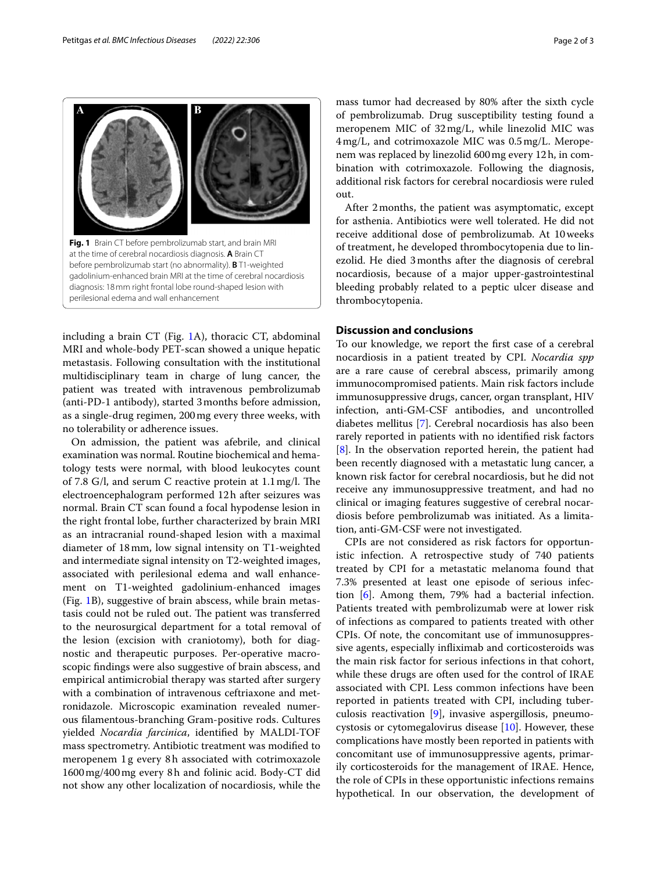

<span id="page-1-0"></span>including a brain CT (Fig. [1A](#page-1-0)), thoracic CT, abdominal MRI and whole-body PET-scan showed a unique hepatic metastasis. Following consultation with the institutional multidisciplinary team in charge of lung cancer, the patient was treated with intravenous pembrolizumab (anti-PD-1 antibody), started 3months before admission, as a single-drug regimen, 200mg every three weeks, with no tolerability or adherence issues.

On admission, the patient was afebrile, and clinical examination was normal. Routine biochemical and hematology tests were normal, with blood leukocytes count of 7.8 G/l, and serum C reactive protein at  $1.1 \text{ mg/l}$ . The electroencephalogram performed 12h after seizures was normal. Brain CT scan found a focal hypodense lesion in the right frontal lobe, further characterized by brain MRI as an intracranial round-shaped lesion with a maximal diameter of 18mm, low signal intensity on T1-weighted and intermediate signal intensity on T2-weighted images, associated with perilesional edema and wall enhancement on T1-weighted gadolinium-enhanced images (Fig. [1B](#page-1-0)), suggestive of brain abscess, while brain metastasis could not be ruled out. The patient was transferred to the neurosurgical department for a total removal of the lesion (excision with craniotomy), both for diagnostic and therapeutic purposes. Per-operative macroscopic fndings were also suggestive of brain abscess, and empirical antimicrobial therapy was started after surgery with a combination of intravenous ceftriaxone and metronidazole. Microscopic examination revealed numerous flamentous-branching Gram-positive rods. Cultures yielded *Nocardia farcinica*, identifed by MALDI-TOF mass spectrometry. Antibiotic treatment was modifed to meropenem 1g every 8h associated with cotrimoxazole 1600mg/400mg every 8h and folinic acid. Body-CT did not show any other localization of nocardiosis, while the mass tumor had decreased by 80% after the sixth cycle of pembrolizumab. Drug susceptibility testing found a meropenem MIC of 32mg/L, while linezolid MIC was 4mg/L, and cotrimoxazole MIC was 0.5mg/L. Meropenem was replaced by linezolid 600mg every 12h, in combination with cotrimoxazole. Following the diagnosis, additional risk factors for cerebral nocardiosis were ruled out.

After 2months, the patient was asymptomatic, except for asthenia. Antibiotics were well tolerated. He did not receive additional dose of pembrolizumab. At 10weeks of treatment, he developed thrombocytopenia due to linezolid. He died 3months after the diagnosis of cerebral nocardiosis, because of a major upper-gastrointestinal bleeding probably related to a peptic ulcer disease and thrombocytopenia.

## **Discussion and conclusions**

To our knowledge, we report the frst case of a cerebral nocardiosis in a patient treated by CPI. *Nocardia spp* are a rare cause of cerebral abscess, primarily among immunocompromised patients. Main risk factors include immunosuppressive drugs, cancer, organ transplant, HIV infection, anti-GM-CSF antibodies, and uncontrolled diabetes mellitus [[7\]](#page-2-4). Cerebral nocardiosis has also been rarely reported in patients with no identifed risk factors [[8\]](#page-2-5). In the observation reported herein, the patient had been recently diagnosed with a metastatic lung cancer, a known risk factor for cerebral nocardiosis, but he did not receive any immunosuppressive treatment, and had no clinical or imaging features suggestive of cerebral nocardiosis before pembrolizumab was initiated. As a limitation, anti-GM-CSF were not investigated.

CPIs are not considered as risk factors for opportunistic infection. A retrospective study of 740 patients treated by CPI for a metastatic melanoma found that 7.3% presented at least one episode of serious infection [\[6](#page-2-3)]. Among them, 79% had a bacterial infection. Patients treated with pembrolizumab were at lower risk of infections as compared to patients treated with other CPIs. Of note, the concomitant use of immunosuppressive agents, especially infiximab and corticosteroids was the main risk factor for serious infections in that cohort, while these drugs are often used for the control of IRAE associated with CPI. Less common infections have been reported in patients treated with CPI, including tuberculosis reactivation [[9\]](#page-2-6), invasive aspergillosis, pneumocystosis or cytomegalovirus disease  $[10]$  $[10]$ . However, these complications have mostly been reported in patients with concomitant use of immunosuppressive agents, primarily corticosteroids for the management of IRAE. Hence, the role of CPIs in these opportunistic infections remains hypothetical. In our observation, the development of